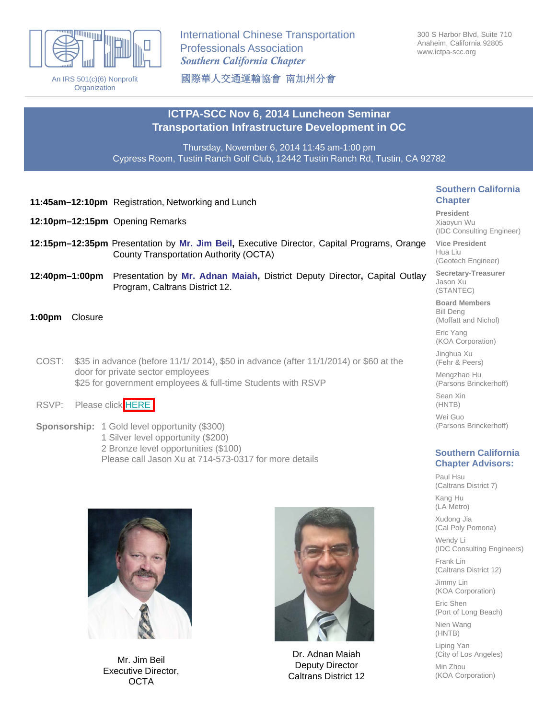

An IRS 501(c)(6) Nonprofit **Organization** 

International Chinese Transportation Professionals Association *Southern California Chapter*

300 S Harbor Blvd, Suite 710 Anaheim, California 92805 www.ictpa-scc.org

國際華人交通運輸協會 南加州分會

## **ICTPA-SCC Nov 6, 2014 Luncheon Seminar Transportation Infrastructure Development in OC**

Thursday, November 6, 2014 11:45 am-1:00 pm Cypress Room, Tustin Ranch Golf Club, 12442 Tustin Ranch Rd, Tustin, CA 92782

- **11:45am–12:10pm** Registration, Networking and Lunch
- **12:10pm–12:15pm** Opening Remarks
- **12:15pm–12:35pm** Presentation by **Mr. Jim Beil,** Executive Director, Capital Programs, Orange County Transportation Authority (OCTA)
- **12:40pm–1:00pm** Presentation by **Mr. Adnan Maiah,** District Deputy Director**,** Capital Outlay Program, Caltrans District 12.
- **1:00pm** Closure
	- COST: \$35 in advance (before 11/1/ 2014), \$50 in advance (after 11/1/2014) or \$60 at the door for private sector employees \$25 for government employees & full-time Students with RSVP
	- RSVP: Please click [HERE](https://docs.google.com/forms/d/1KvrGLcZcCW8UOrXpowjl19IhiZTkmM4VaNNtVUsAc88/viewform)
	- **Sponsorship:** 1 Gold level opportunity (\$300) 1 Silver level opportunity (\$200) 2 Bronze level opportunities (\$100) Please call Jason Xu at 714-573-0317 for more details



Mr. Jim Beil Executive Director, **OCTA** 



Dr. Adnan Maiah Deputy Director Caltrans District 12

### **Southern California Chapter**

**President** Xiaoyun Wu (IDC Consulting Engineer)

**Vice President** Hua Liu (Geotech Engineer)

**Secretary-Treasurer** Jason Xu (STANTEC)

**Board Members** Bill Deng (Moffatt and Nichol)

Eric Yang (KOA Corporation)

Jinghua Xu (Fehr & Peers)

Mengzhao Hu (Parsons Brinckerhoff)

Sean Xin

(HNTB)

Wei Guo (Parsons Brinckerhoff)

## **Southern California Chapter Advisors:**

Paul Hsu (Caltrans District 7) Kang Hu (LA Metro) Xudong Jia (Cal Poly Pomona) Wendy Li (IDC Consulting Engineers) Frank Lin (Caltrans District 12) Jimmy Lin (KOA Corporation) Eric Shen (Port of Long Beach) Nien Wang (HNTB) Liping Yan (City of Los Angeles)

Min Zhou (KOA Corporation)